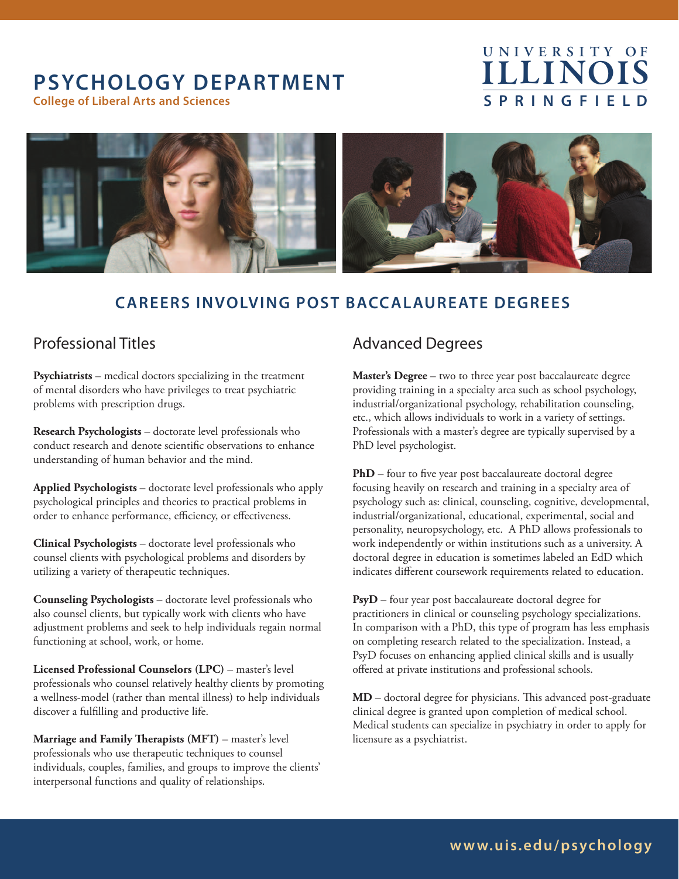# **PSYCHOLOGY DEPARTMENT**

**College of Liberal Arts and Sciences**

# **ILLINOI S P R I N G F I E L D U N I V E R S I T Y O F**



### **CAREERS INVOLVING POST BACCALAUREATE DEGREES**

### Professional Titles

**Psychiatrists** – medical doctors specializing in the treatment of mental disorders who have privileges to treat psychiatric problems with prescription drugs.

**Research Psychologists** – doctorate level professionals who conduct research and denote scientific observations to enhance understanding of human behavior and the mind.

**Applied Psychologists** – doctorate level professionals who apply psychological principles and theories to practical problems in order to enhance performance, efficiency, or effectiveness.

**Clinical Psychologists** – doctorate level professionals who counsel clients with psychological problems and disorders by utilizing a variety of therapeutic techniques.

**Counseling Psychologists** – doctorate level professionals who also counsel clients, but typically work with clients who have adjustment problems and seek to help individuals regain normal functioning at school, work, or home.

**Licensed Professional Counselors (LPC)** – master's level professionals who counsel relatively healthy clients by promoting a wellness-model (rather than mental illness) to help individuals discover a fulfilling and productive life.

**Marriage and Family Therapists (MFT)** – master's level professionals who use therapeutic techniques to counsel individuals, couples, families, and groups to improve the clients' interpersonal functions and quality of relationships.

### Advanced Degrees

**Master's Degree** – two to three year post baccalaureate degree providing training in a specialty area such as school psychology, industrial/organizational psychology, rehabilitation counseling, etc., which allows individuals to work in a variety of settings. Professionals with a master's degree are typically supervised by a PhD level psychologist.

**PhD** – four to five year post baccalaureate doctoral degree focusing heavily on research and training in a specialty area of psychology such as: clinical, counseling, cognitive, developmental, industrial/organizational, educational, experimental, social and personality, neuropsychology, etc. A PhD allows professionals to work independently or within institutions such as a university. A doctoral degree in education is sometimes labeled an EdD which indicates different coursework requirements related to education.

**PsyD** – four year post baccalaureate doctoral degree for practitioners in clinical or counseling psychology specializations. In comparison with a PhD, this type of program has less emphasis on completing research related to the specialization. Instead, a PsyD focuses on enhancing applied clinical skills and is usually offered at private institutions and professional schools.

**MD** – doctoral degree for physicians. This advanced post-graduate clinical degree is granted upon completion of medical school. Medical students can specialize in psychiatry in order to apply for licensure as a psychiatrist.